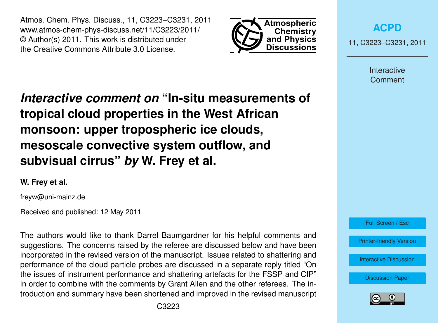Atmos. Chem. Phys. Discuss., 11, C3223–C3231, 2011 www.atmos-chem-phys-discuss.net/11/C3223/2011/ © Author(s) 2011. This work is distributed under the Creative Commons Attribute 3.0 License.



**[ACPD](http://www.atmos-chem-phys-discuss.net)**

11, C3223–C3231, 2011

Interactive **Comment** 

*Interactive comment on* **"In-situ measurements of tropical cloud properties in the West African monsoon: upper tropospheric ice clouds, mesoscale convective system outflow, and subvisual cirrus"** *by* **W. Frey et al.**

## **W. Frey et al.**

freyw@uni-mainz.de

Received and published: 12 May 2011

The authors would like to thank Darrel Baumgardner for his helpful comments and suggestions. The concerns raised by the referee are discussed below and have been incorporated in the revised version of the manuscript. Issues related to shattering and performance of the cloud particle probes are discussed in a separate reply titled "On the issues of instrument performance and shattering artefacts for the FSSP and CIP" in order to combine with the comments by Grant Allen and the other referees. The introduction and summary have been shortened and improved in the revised manuscript Full Screen / Esc

[Printer-friendly Version](http://www.atmos-chem-phys-discuss.net/11/C3223/2011/acpd-11-C3223-2011-print.pdf)

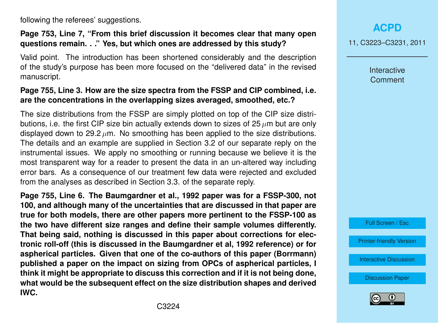following the referees' suggestions.

#### **Page 753, Line 7, "From this brief discussion it becomes clear that many open questions remain. . ." Yes, but which ones are addressed by this study?**

Valid point. The introduction has been shortened considerably and the description of the study's purpose has been more focused on the "delivered data" in the revised manuscript.

### **Page 755, Line 3. How are the size spectra from the FSSP and CIP combined, i.e. are the concentrations in the overlapping sizes averaged, smoothed, etc.?**

The size distributions from the FSSP are simply plotted on top of the CIP size distributions, i.e. the first CIP size bin actually extends down to sizes of  $25 \mu m$  but are only displayed down to 29.2  $\mu$ m. No smoothing has been applied to the size distributions. The details and an example are supplied in Section 3.2 of our separate reply on the instrumental issues. We apply no smoothing or running because we believe it is the most transparent way for a reader to present the data in an un-altered way including error bars. As a consequence of our treatment few data were rejected and excluded from the analyses as described in Section 3.3. of the separate reply.

**Page 755, Line 6. The Baumgardner et al., 1992 paper was for a FSSP-300, not 100, and although many of the uncertainties that are discussed in that paper are true for both models, there are other papers more pertinent to the FSSP-100 as the two have different size ranges and define their sample volumes differently. That being said, nothing is discussed in this paper about corrections for electronic roll-off (this is discussed in the Baumgardner et al, 1992 reference) or for aspherical particles. Given that one of the co-authors of this paper (Borrmann) published a paper on the impact on sizing from OPCs of aspherical particles, I think it might be appropriate to discuss this correction and if it is not being done, what would be the subsequent effect on the size distribution shapes and derived IWC.**

**[ACPD](http://www.atmos-chem-phys-discuss.net)**

11, C3223–C3231, 2011

Interactive **Comment** 

Full Screen / Esc

[Printer-friendly Version](http://www.atmos-chem-phys-discuss.net/11/C3223/2011/acpd-11-C3223-2011-print.pdf)

[Interactive Discussion](http://www.atmos-chem-phys-discuss.net/11/745/2011/acpd-11-745-2011-discussion.html)

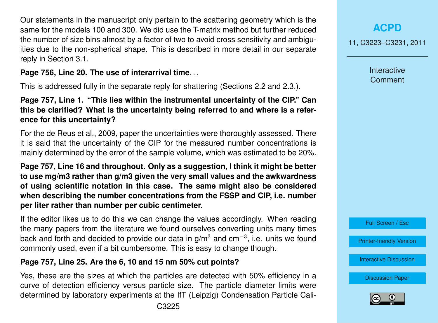Our statements in the manuscript only pertain to the scattering geometry which is the same for the models 100 and 300. We did use the T-matrix method but further reduced the number of size bins almost by a factor of two to avoid cross sensitivity and ambiguities due to the non-spherical shape. This is described in more detail in our separate reply in Section 3.1.

## **Page 756, Line 20. The use of interarrival time**. . .

This is addressed fully in the separate reply for shattering (Sections 2.2 and 2.3.).

#### **Page 757, Line 1. "This lies within the instrumental uncertainty of the CIP." Can this be clarified? What is the uncertainty being referred to and where is a reference for this uncertainty?**

For the de Reus et al., 2009, paper the uncertainties were thoroughly assessed. There it is said that the uncertainty of the CIP for the measured number concentrations is mainly determined by the error of the sample volume, which was estimated to be 20%.

**Page 757, Line 16 and throughout. Only as a suggestion, I think it might be better to use mg/m3 rather than g/m3 given the very small values and the awkwardness of using scientific notation in this case. The same might also be considered when describing the number concentrations from the FSSP and CIP, i.e. number per liter rather than number per cubic centimeter.**

If the editor likes us to do this we can change the values accordingly. When reading the many papers from the literature we found ourselves converting units many times back and forth and decided to provide our data in g/m<sup>3</sup> and cm<sup>-3</sup>, i.e. units we found commonly used, even if a bit cumbersome. This is easy to change though.

## **Page 757, Line 25. Are the 6, 10 and 15 nm 50% cut points?**

Yes, these are the sizes at which the particles are detected with 50% efficiency in a curve of detection efficiency versus particle size. The particle diameter limits were determined by laboratory experiments at the IfT (Leipzig) Condensation Particle Cali-

## **[ACPD](http://www.atmos-chem-phys-discuss.net)**

11, C3223–C3231, 2011

Interactive **Comment** 



[Printer-friendly Version](http://www.atmos-chem-phys-discuss.net/11/C3223/2011/acpd-11-C3223-2011-print.pdf)

[Interactive Discussion](http://www.atmos-chem-phys-discuss.net/11/745/2011/acpd-11-745-2011-discussion.html)

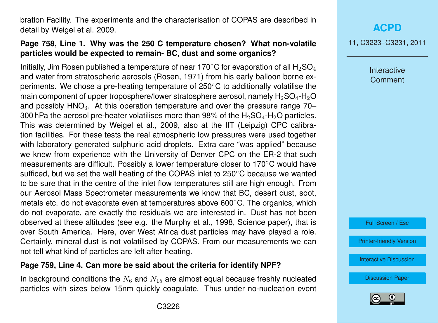bration Facility. The experiments and the characterisation of COPAS are described in detail by Weigel et al. 2009.

## **Page 758, Line 1. Why was the 250 C temperature chosen? What non-volatile particles would be expected to remain- BC, dust and some organics?**

Initially, Jim Rosen published a temperature of near 170 $\degree$ C for evaporation of all H<sub>2</sub>SO<sub>4</sub> and water from stratospheric aerosols (Rosen, 1971) from his early balloon borne experiments. We chose a pre-heating temperature of 250◦C to additionally volatilise the main component of upper troposphere/lower stratosphere aerosol, namely  $H_2SO_4$ -H<sub>2</sub>O and possibly  $HNO<sub>3</sub>$ . At this operation temperature and over the pressure range 70– 300 hPa the aerosol pre-heater volatilises more than 98% of the  $H_2SO_4$ -H<sub>2</sub>O particles. This was determined by Weigel et al., 2009, also at the IfT (Leipzig) CPC calibration facilities. For these tests the real atmospheric low pressures were used together with laboratory generated sulphuric acid droplets. Extra care "was applied" because we knew from experience with the University of Denver CPC on the ER-2 that such measurements are difficult. Possibly a lower temperature closer to 170◦C would have sufficed, but we set the wall heating of the COPAS inlet to 250◦C because we wanted to be sure that in the centre of the inlet flow temperatures still are high enough. From our Aerosol Mass Spectrometer measurements we know that BC, desert dust, soot, metals etc. do not evaporate even at temperatures above 600◦C. The organics, which do not evaporate, are exactly the residuals we are interested in. Dust has not been observed at these altitudes (see e.g. the Murphy et al., 1998, Science paper), that is over South America. Here, over West Africa dust particles may have played a role. Certainly, mineral dust is not volatilised by COPAS. From our measurements we can not tell what kind of particles are left after heating.

#### **Page 759, Line 4. Can more be said about the criteria for identify NPF?**

In background conditions the  $N_6$  and  $N_{15}$  are almost equal because freshly nucleated particles with sizes below 15nm quickly coagulate. Thus under no-nucleation event **[ACPD](http://www.atmos-chem-phys-discuss.net)**

11, C3223–C3231, 2011

Interactive **Comment** 

Full Screen / Esc

[Printer-friendly Version](http://www.atmos-chem-phys-discuss.net/11/C3223/2011/acpd-11-C3223-2011-print.pdf)

[Interactive Discussion](http://www.atmos-chem-phys-discuss.net/11/745/2011/acpd-11-745-2011-discussion.html)

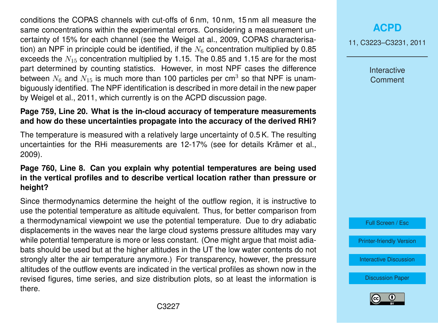conditions the COPAS channels with cut-offs of 6 nm, 10 nm, 15 nm all measure the same concentrations within the experimental errors. Considering a measurement uncertainty of 15% for each channel (see the Weigel at al., 2009, COPAS characterisation) an NPF in principle could be identified, if the  $N<sub>6</sub>$  concentration multiplied by 0.85 exceeds the  $N_{15}$  concentration multiplied by 1.15. The 0.85 and 1.15 are for the most part determined by counting statistics. However, in most NPF cases the difference between  $N_6$  and  $N_{15}$  is much more than 100 particles per cm<sup>3</sup> so that NPF is unambiguously identified. The NPF identification is described in more detail in the new paper by Weigel et al., 2011, which currently is on the ACPD discussion page.

#### **Page 759, Line 20. What is the in-cloud accuracy of temperature measurements and how do these uncertainties propagate into the accuracy of the derived RHi?**

The temperature is measured with a relatively large uncertainty of 0.5 K. The resulting uncertainties for the RHi measurements are 12-17% (see for details Krämer et al., 2009).

#### **Page 760, Line 8. Can you explain why potential temperatures are being used in the vertical profiles and to describe vertical location rather than pressure or height?**

Since thermodynamics determine the height of the outflow region, it is instructive to use the potential temperature as altitude equivalent. Thus, for better comparison from a thermodynamical viewpoint we use the potential temperature. Due to dry adiabatic displacements in the waves near the large cloud systems pressure altitudes may vary while potential temperature is more or less constant. (One might argue that moist adiabats should be used but at the higher altitudes in the UT the low water contents do not strongly alter the air temperature anymore.) For transparency, however, the pressure altitudes of the outflow events are indicated in the vertical profiles as shown now in the revised figures, time series, and size distribution plots, so at least the information is there.

**[ACPD](http://www.atmos-chem-phys-discuss.net)**

11, C3223–C3231, 2011

Interactive **Comment** 

Full Screen / Esc

[Printer-friendly Version](http://www.atmos-chem-phys-discuss.net/11/C3223/2011/acpd-11-C3223-2011-print.pdf)

[Interactive Discussion](http://www.atmos-chem-phys-discuss.net/11/745/2011/acpd-11-745-2011-discussion.html)

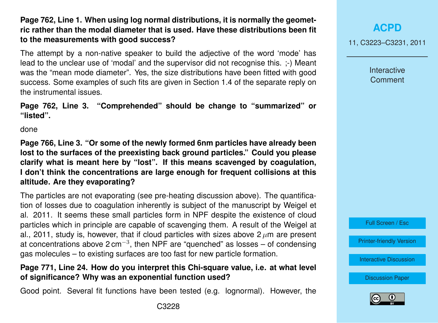## **Page 762, Line 1. When using log normal distributions, it is normally the geometric rather than the modal diameter that is used. Have these distributions been fit to the measurements with good success?**

The attempt by a non-native speaker to build the adjective of the word 'mode' has lead to the unclear use of 'modal' and the supervisor did not recognise this. ;-) Meant was the "mean mode diameter". Yes, the size distributions have been fitted with good success. Some examples of such fits are given in Section 1.4 of the separate reply on the instrumental issues.

**Page 762, Line 3. "Comprehended" should be change to "summarized" or "listed".**

done

**Page 766, Line 3. "Or some of the newly formed 6nm particles have already been lost to the surfaces of the preexisting back ground particles." Could you please clarify what is meant here by "lost". If this means scavenged by coagulation, I don't think the concentrations are large enough for frequent collisions at this altitude. Are they evaporating?**

The particles are not evaporating (see pre-heating discussion above). The quantification of losses due to coagulation inherently is subject of the manuscript by Weigel et al. 2011. It seems these small particles form in NPF despite the existence of cloud particles which in principle are capable of scavenging them. A result of the Weigel at al., 2011, study is, however, that if cloud particles with sizes above  $2 \mu m$  are present at concentrations above 2 cm<sup>-3</sup>, then NPF are "quenched" as losses – of condensing gas molecules – to existing surfaces are too fast for new particle formation.

#### **Page 771, Line 24. How do you interpret this Chi-square value, i.e. at what level of significance? Why was an exponential function used?**

Good point. Several fit functions have been tested (e.g. lognormal). However, the

Interactive **Comment** 



[Printer-friendly Version](http://www.atmos-chem-phys-discuss.net/11/C3223/2011/acpd-11-C3223-2011-print.pdf)

[Interactive Discussion](http://www.atmos-chem-phys-discuss.net/11/745/2011/acpd-11-745-2011-discussion.html)

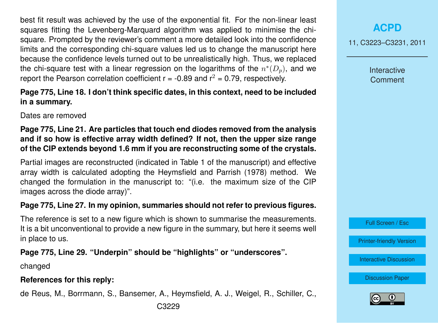best fit result was achieved by the use of the exponential fit. For the non-linear least squares fitting the Levenberg-Marquard algorithm was applied to minimise the chisquare. Prompted by the reviewer's comment a more detailed look into the confidence limits and the corresponding chi-square values led us to change the manuscript here because the confidence levels turned out to be unrealistically high. Thus, we replaced the chi-square test with a linear regression on the logarithms of the  $n^*(D_p)$ , and we report the Pearson correlation coefficient  $r = -0.89$  and  $r^2 = 0.79$ , respectively.

### **Page 775, Line 18. I don't think specific dates, in this context, need to be included in a summary.**

Dates are removed

#### **Page 775, Line 21. Are particles that touch end diodes removed from the analysis and if so how is effective array width defined? If not, then the upper size range of the CIP extends beyond 1.6 mm if you are reconstructing some of the crystals.**

Partial images are reconstructed (indicated in Table 1 of the manuscript) and effective array width is calculated adopting the Heymsfield and Parrish (1978) method. We changed the formulation in the manuscript to: "(i.e. the maximum size of the CIP images across the diode array)".

### **Page 775, Line 27. In my opinion, summaries should not refer to previous figures.**

The reference is set to a new figure which is shown to summarise the measurements. It is a bit unconventional to provide a new figure in the summary, but here it seems well in place to us.

## **Page 775, Line 29. "Underpin" should be "highlights" or "underscores".**

changed

### **References for this reply:**

de Reus, M., Borrmann, S., Bansemer, A., Heymsfield, A. J., Weigel, R., Schiller, C.,

11, C3223–C3231, 2011

Interactive **Comment** 

Full Screen / Esc

[Printer-friendly Version](http://www.atmos-chem-phys-discuss.net/11/C3223/2011/acpd-11-C3223-2011-print.pdf)

[Interactive Discussion](http://www.atmos-chem-phys-discuss.net/11/745/2011/acpd-11-745-2011-discussion.html)

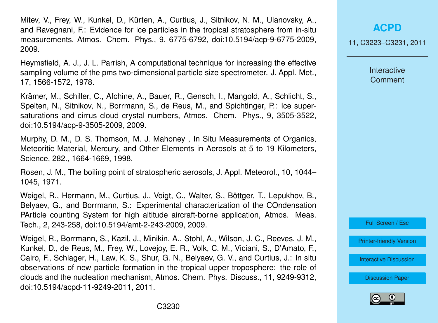Mitev, V., Frey, W., Kunkel, D., Kürten, A., Curtius, J., Sitnikov, N. M., Ulanovsky, A., and Ravegnani, F.: Evidence for ice particles in the tropical stratosphere from in-situ measurements, Atmos. Chem. Phys., 9, 6775-6792, doi:10.5194/acp-9-6775-2009, 2009.

Heymsfield, A. J., J. L. Parrish, A computational technique for increasing the effective sampling volume of the pms two-dimensional particle size spectrometer. J. Appl. Met., 17, 1566-1572, 1978.

Krämer, M., Schiller, C., Afchine, A., Bauer, R., Gensch, I., Mangold, A., Schlicht, S., Spelten, N., Sitnikov, N., Borrmann, S., de Reus, M., and Spichtinger, P.: Ice supersaturations and cirrus cloud crystal numbers, Atmos. Chem. Phys., 9, 3505-3522, doi:10.5194/acp-9-3505-2009, 2009.

Murphy, D. M., D. S. Thomson, M. J. Mahoney , In Situ Measurements of Organics, Meteoritic Material, Mercury, and Other Elements in Aerosols at 5 to 19 Kilometers, Science, 282., 1664-1669, 1998.

Rosen, J. M., The boiling point of stratospheric aerosols, J. Appl. Meteorol., 10, 1044– 1045, 1971.

Weigel, R., Hermann, M., Curtius, J., Voigt, C., Walter, S., Böttger, T., Lepukhov, B., Belyaev, G., and Borrmann, S.: Experimental characterization of the COndensation PArticle counting System for high altitude aircraft-borne application, Atmos. Meas. Tech., 2, 243-258, doi:10.5194/amt-2-243-2009, 2009.

Weigel, R., Borrmann, S., Kazil, J., Minikin, A., Stohl, A., Wilson, J. C., Reeves, J. M., Kunkel, D., de Reus, M., Frey, W., Lovejoy, E. R., Volk, C. M., Viciani, S., D'Amato, F., Cairo, F., Schlager, H., Law, K. S., Shur, G. N., Belyaev, G. V., and Curtius, J.: In situ observations of new particle formation in the tropical upper troposphere: the role of clouds and the nucleation mechanism, Atmos. Chem. Phys. Discuss., 11, 9249-9312, doi:10.5194/acpd-11-9249-2011, 2011.

**[ACPD](http://www.atmos-chem-phys-discuss.net)**

11, C3223–C3231, 2011

**Interactive Comment** 

Full Screen / Esc

[Printer-friendly Version](http://www.atmos-chem-phys-discuss.net/11/C3223/2011/acpd-11-C3223-2011-print.pdf)

[Interactive Discussion](http://www.atmos-chem-phys-discuss.net/11/745/2011/acpd-11-745-2011-discussion.html)